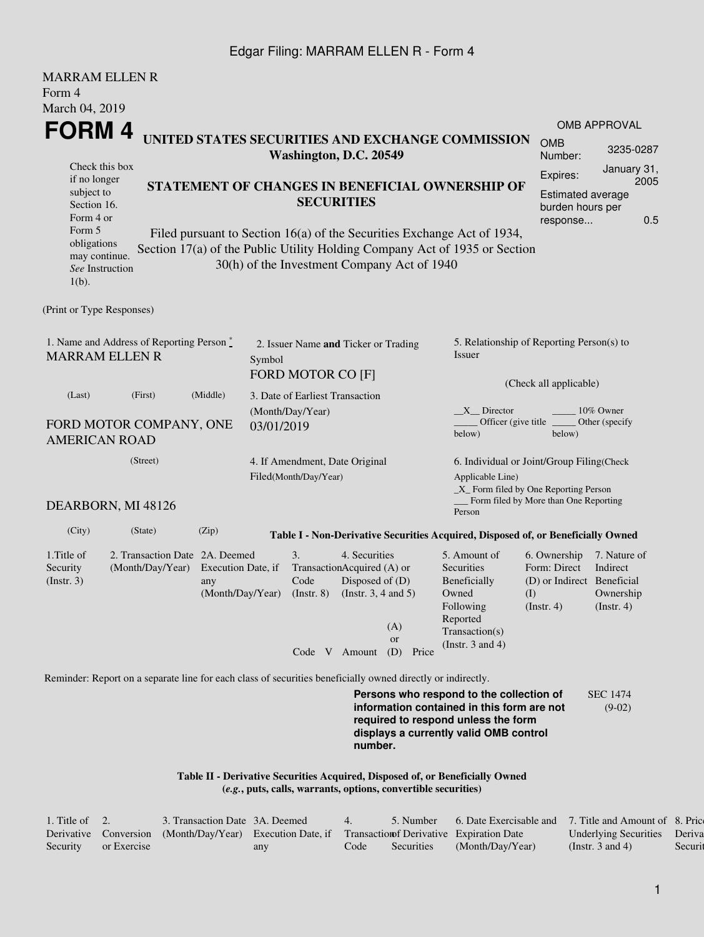## Edgar Filing: MARRAM ELLEN R - Form 4

| <b>MARRAM ELLEN R</b><br>Form 4                                                                                                                   |                                                                                                             |                                                                                                                                                                                                                                                                                                        |                                                           |                                                              |                                                                               |                                                                                                                                                            |                                                                                                                                                                         |                                                                                       |                                                           |  |  |
|---------------------------------------------------------------------------------------------------------------------------------------------------|-------------------------------------------------------------------------------------------------------------|--------------------------------------------------------------------------------------------------------------------------------------------------------------------------------------------------------------------------------------------------------------------------------------------------------|-----------------------------------------------------------|--------------------------------------------------------------|-------------------------------------------------------------------------------|------------------------------------------------------------------------------------------------------------------------------------------------------------|-------------------------------------------------------------------------------------------------------------------------------------------------------------------------|---------------------------------------------------------------------------------------|-----------------------------------------------------------|--|--|
| March 04, 2019<br>FORM 4                                                                                                                          |                                                                                                             |                                                                                                                                                                                                                                                                                                        |                                                           |                                                              |                                                                               |                                                                                                                                                            |                                                                                                                                                                         |                                                                                       | <b>OMB APPROVAL</b>                                       |  |  |
|                                                                                                                                                   | UNITED STATES SECURITIES AND EXCHANGE COMMISSION                                                            |                                                                                                                                                                                                                                                                                                        |                                                           |                                                              | <b>OMB</b><br>Number:                                                         | 3235-0287                                                                                                                                                  |                                                                                                                                                                         |                                                                                       |                                                           |  |  |
| Check this box<br>if no longer<br>subject to<br>Section 16.<br>Form 4 or<br>Form 5<br>obligations<br>may continue.<br>See Instruction<br>$1(b)$ . |                                                                                                             | Washington, D.C. 20549<br>STATEMENT OF CHANGES IN BENEFICIAL OWNERSHIP OF<br><b>SECURITIES</b><br>Filed pursuant to Section 16(a) of the Securities Exchange Act of 1934,<br>Section 17(a) of the Public Utility Holding Company Act of 1935 or Section<br>30(h) of the Investment Company Act of 1940 |                                                           |                                                              |                                                                               |                                                                                                                                                            |                                                                                                                                                                         |                                                                                       |                                                           |  |  |
| (Print or Type Responses)                                                                                                                         |                                                                                                             |                                                                                                                                                                                                                                                                                                        |                                                           |                                                              |                                                                               |                                                                                                                                                            |                                                                                                                                                                         |                                                                                       |                                                           |  |  |
| 1. Name and Address of Reporting Person*<br><b>MARRAM ELLEN R</b>                                                                                 |                                                                                                             | Symbol                                                                                                                                                                                                                                                                                                 | 2. Issuer Name and Ticker or Trading<br>FORD MOTOR CO [F] |                                                              |                                                                               | 5. Relationship of Reporting Person(s) to<br><i>Issuer</i>                                                                                                 |                                                                                                                                                                         |                                                                                       |                                                           |  |  |
| (Last)<br>FORD MOTOR COMPANY, ONE<br><b>AMERICAN ROAD</b>                                                                                         | (Middle)                                                                                                    | 03/01/2019                                                                                                                                                                                                                                                                                             | 3. Date of Earliest Transaction<br>(Month/Day/Year)       |                                                              |                                                                               | (Check all applicable)<br>X Director<br>10% Owner<br>Officer (give title)<br>Other (specify<br>below)<br>below)                                            |                                                                                                                                                                         |                                                                                       |                                                           |  |  |
| DEARBORN, MI 48126                                                                                                                                |                                                                                                             |                                                                                                                                                                                                                                                                                                        | 4. If Amendment, Date Original<br>Filed(Month/Day/Year)   |                                                              |                                                                               | 6. Individual or Joint/Group Filing(Check<br>Applicable Line)<br>_X_ Form filed by One Reporting Person<br>Form filed by More than One Reporting<br>Person |                                                                                                                                                                         |                                                                                       |                                                           |  |  |
| (City)                                                                                                                                            | (State)                                                                                                     | (Zip)                                                                                                                                                                                                                                                                                                  |                                                           |                                                              |                                                                               |                                                                                                                                                            | Table I - Non-Derivative Securities Acquired, Disposed of, or Beneficially Owned                                                                                        |                                                                                       |                                                           |  |  |
| 1. Title of<br>Security<br>$($ Instr. 3 $)$                                                                                                       | 2. Transaction Date 2A. Deemed<br>(Month/Day/Year)                                                          | Execution Date, if<br>any<br>(Month/Day/Year)                                                                                                                                                                                                                                                          |                                                           | 3.<br>TransactionAcquired (A) or<br>Code<br>$($ Instr. 8 $)$ | 4. Securities<br>Disposed of (D)<br>(Instr. $3, 4$ and $5$ )<br>Code V Amount | (A)<br><sub>or</sub><br>(D)<br>Price                                                                                                                       | 5. Amount of<br><b>Securities</b><br>Beneficially<br>Owned<br>Following<br>Reported<br>Transaction(s)<br>(Instr. $3$ and $4$ )                                          | 6. Ownership<br>Form: Direct<br>(D) or Indirect Beneficial<br>(I)<br>$($ Instr. 4 $)$ | 7. Nature of<br>Indirect<br>Ownership<br>$($ lnstr. 4 $)$ |  |  |
|                                                                                                                                                   | Reminder: Report on a separate line for each class of securities beneficially owned directly or indirectly. |                                                                                                                                                                                                                                                                                                        |                                                           |                                                              |                                                                               |                                                                                                                                                            |                                                                                                                                                                         |                                                                                       |                                                           |  |  |
|                                                                                                                                                   |                                                                                                             |                                                                                                                                                                                                                                                                                                        |                                                           |                                                              |                                                                               |                                                                                                                                                            | Persons who respond to the collection of<br>information contained in this form are not<br>required to respond unless the form<br>displays a currently valid OMB control |                                                                                       | <b>SEC 1474</b><br>$(9-02)$                               |  |  |

**number.**

**Table II - Derivative Securities Acquired, Disposed of, or Beneficially Owned (***e.g.***, puts, calls, warrants, options, convertible securities)**

| 1. Title of $\quad 2.$ |             | 3. Transaction Date 3A. Deemed                                                                      |     | $\overline{4}$ | 5. Number  | 6. Date Exercisable and 7. Title and Amount of 8. Price |                              |         |
|------------------------|-------------|-----------------------------------------------------------------------------------------------------|-----|----------------|------------|---------------------------------------------------------|------------------------------|---------|
|                        |             | Derivative Conversion (Month/Day/Year) Execution Date, if Transaction of Derivative Expiration Date |     |                |            |                                                         | Underlying Securities Deriva |         |
| Security               | or Exercise |                                                                                                     | any | Code           | Securities | (Month/Day/Year)                                        | (Instr. 3 and 4)             | Securit |